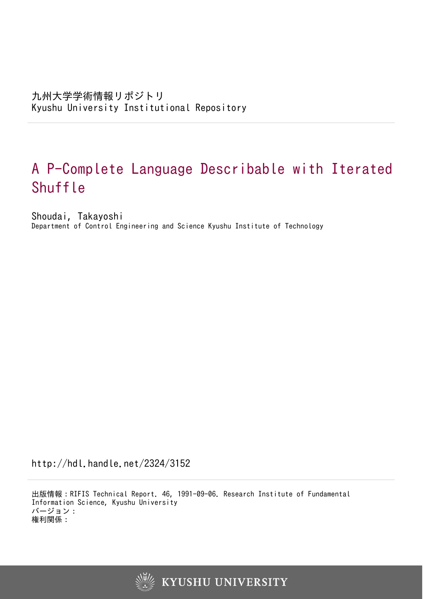# A P-Complete Language Describable with Iterated Shuffle

Shoudai, Takayoshi Department of Control Engineering and Science Kyushu Institute of Technology

http://hdl.handle.net/2324/3152

出版情報:RIFIS Technical Report. 46, 1991-09-06. Research Institute of Fundamental Information Science, Kyushu University バージョン: 権利関係:

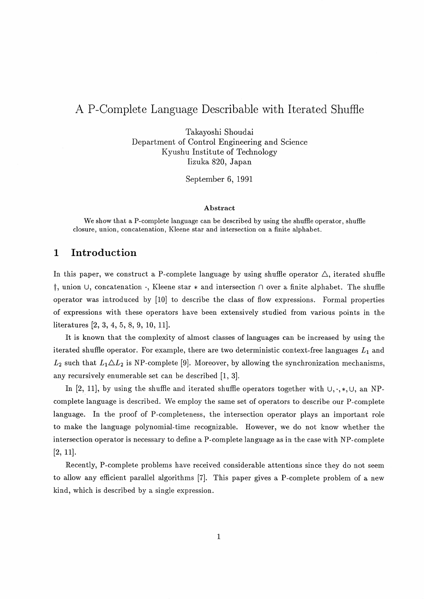# A P-Complete Language Describable with Iterated Shuffle

Takayoshi Shoudai Department of Control Engineering and Science Kyushu Institute of Technology Iizuka 820, Japan

September 6, 1991

#### **Abstract**

We show that a P-complete language can be described by using the shuffle operator, shuffle closure, union, concatenation, ICleene star and intersection on a finite alphabet.

# **1. Introduction**

In this paper, we construct a P-complete language by using shuffle operator  $\triangle$ , iterated shuffle<br>†, union ∪, concatenation ·, Kleene star \* and intersection ∩ over a finite alphabet. The shuffle operator was introduced by [10] to describe the class of flow expressions. Formal properties of expressions with these operators have been extensively studied from various points in the literatures  $[2, 3, 4, 5, 8, 9, 10, 11]$ .

It is known that the complexity of almost classes of languages can be increased by using the iterated shuffle operator. For example, there are two deterministic context-free languages  $L_1$  and  $L_2$  such that  $L_1 \triangle L_2$  is NP-complete [9]. Moreover, by allowing the synchronization mechanisms, any recursively enumerable set can be described [I, 31.

In [2, 11], by using the shuffle and iterated shuffle operators together with  $\cup, \cdot, \cdot, \cup$ , an NPcomplete language is described. We employ the same set of operators to describe our P-complete language. In the proof of P-completeness, the intersection operator plays an important role to make the language polynomial-time recognizable. However, we do not know whether the intersection operator is necessary to define a P-complete language as in the case with NP-complete  $[2, 11]$ .

Recently, P-complete problems have received considerable attentions since they do not seem to allow any efficient parallel algorithms *[7].* This paper gives a P-complete problem of a new kind, which is described by a single expression.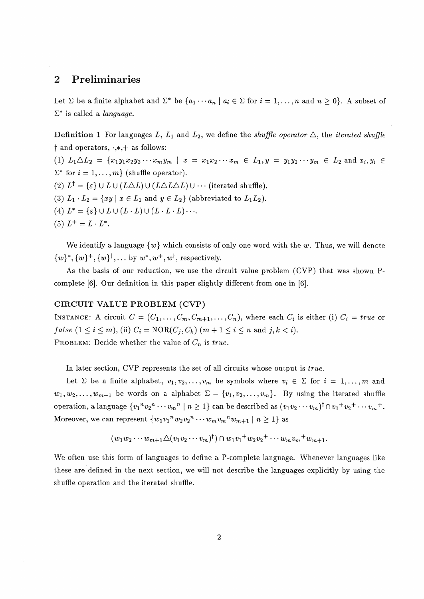## **2 Preliminaries**

Let  $\Sigma$  be a finite alphabet and  $\Sigma^*$  be  $\{a_1 \cdots a_n \mid a_i \in \Sigma \text{ for } i = 1, \ldots, n \text{ and } n \geq 0\}$ . A subset of  $\Sigma^*$  is called a *language*.

**Definition 1** For languages L,  $L_1$  and  $L_2$ , we define the *shuffle operator*  $\triangle$ , the *iterated shuffle*  $\dagger$  and operators,  $\cdot$ , $*$ , $+$  as follows: (1)  $L_1 \triangle L_2 = \{x_1y_1x_2y_2\cdots x_my_m \mid x = x_1x_2\cdots x_m \in L_1, y = y_1y_2\cdots y_m \in L_2 \text{ and } x_i, y_i \in L_1\}$  $\Sigma^*$  for  $i = 1, \ldots, m$  (shuffle operator). (2)  $L^{\dagger} = {\varepsilon} \cup L \cup (L\Delta L) \cup (L\Delta L\Delta L) \cup \cdots$  (iterated shuffle). (3)  $L_1 \cdot L_2 = \{xy \mid x \in L_1 \text{ and } y \in L_2\}$  (abbreviated to  $L_1L_2$ ). (4)  $L^* = \{\varepsilon\} \cup L \cup (L \cdot L) \cup (L \cdot L \cdot L) \cdots$ 

(5)  $L^+ = L \cdot L^*$ .

We identify a language  $\{w\}$  which consists of only one word with the w. Thus, we will denote  $\{w\}^*, \{w\}^+, \{w\}^{\dagger}, \ldots$  by  $w^*, w^+, w^{\dagger}$ , respectively.

As the basis of our reduction, we use the circuit value problem (CVP) that was shown Pcomplete [6]. Our definition in this paper slightly different from one in [6].

#### **CIRCUIT VALUE PROBLEM (CVP)**

**INSTANCE:** A circuit  $C = (C_1, \ldots, C_m, C_{m+1}, \ldots, C_n)$ , where each  $C_i$  is either (i)  $C_i = true$  or *false*  $(1 \leq i \leq m)$ , (ii)  $C_i = \text{NOR}(C_i, C_k)$   $(m+1 \leq i \leq n$  and  $j, k < i$ .

PROBLEM: Decide whether the value of  $C_n$  is *true*.

In later section, CVP represents the set of all circuits whose output is *true.* 

Let  $\Sigma$  be a finite alphabet,  $v_1, v_2, \ldots, v_m$  be symbols where  $v_i \in \Sigma$  for  $i = 1, \ldots, m$  and  $w_1, w_2, \ldots, w_{m+1}$  be words on a alphabet  $\Sigma - \{v_1, v_2, \ldots, v_m\}$ . By using the iterated shuffle operation, a language  $\{v_1^n v_2^n \cdots v_m^n \mid n \geq 1\}$  can be described as  $(v_1 v_2 \cdots v_m)^{\dagger} \cap v_1 + v_2 + \cdots + v_m +$ . Moreover, we can represent  $\{w_1v_1^n w_2v_2^n \cdots w_mv_m^n w_{m+1} \mid n \geq 1\}$  as

$$
(w_1w_2\cdots w_{m+1}\triangle (v_1v_2\cdots v_m)^{\dagger})\cap w_1v_1+w_2v_2+\cdots w_mv_m+w_{m+1}.
$$

We often use this form of languages to define a P-complete language. Whenever languages like these are defined in the next section, we will not describe the languages explicitly by using the shuffle operation and the iterated shuffle.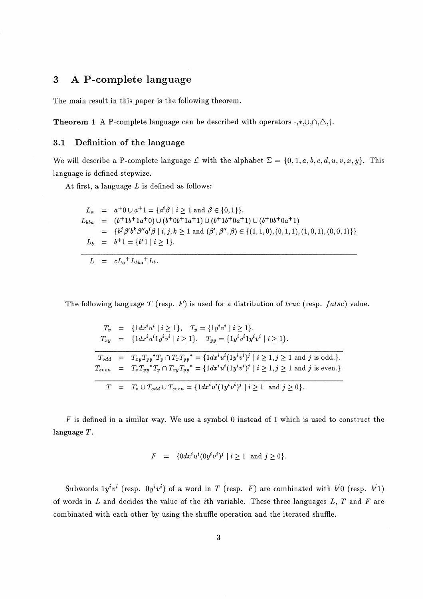# **3 A P-complete language**

The main result in this paper is the following theorem.

**Theorem 1** A P-complete language can be described with operators  $\cdot$ ,\*, $\cup$ , $\cap$ , $\triangle$ , $\dagger$ .

### **3.1 Definition of the language**

We will describe a P-complete language  $\mathcal{L}$  with the alphabet  $\Sigma = \{0, 1, a, b, c, d, u, v, x, y\}$ . This language is defined stepwize.

At first, a language  $L$  is defined as follows:

$$
L_a = a^+0 \cup a^+1 = \{a^i \beta \mid i \ge 1 \text{ and } \beta \in \{0,1\}\}.
$$
  
\n
$$
L_{bba} = (b^+1b^+1a^+0) \cup (b^+0b^+1a^+1) \cup (b^+1b^+0a^+1) \cup (b^+0b^+0a^+1)
$$
  
\n
$$
= \{b^j \beta' b^k \beta'' a^i \beta \mid i, j, k \ge 1 \text{ and } (\beta', \beta'', \beta) \in \{(1,1,0), (0,1,1), (1,0,1), (0,0,1)\}\}
$$
  
\n
$$
L_b = b^+1 = \{b^i 1 \mid i \ge 1\}.
$$

The following language T (resp. *F)* is used for a distribution of *true* (resp. *false)* value.

|  | $T_x = \{ 1dx^i u^i \mid i \ge 1 \}, \quad T_y = \{ 1y^i v^i \mid i \ge 1 \}.$                                                                   |
|--|--------------------------------------------------------------------------------------------------------------------------------------------------|
|  | $T_{xy}$ = { $1 dx^{i} u^{i} 1 y^{i} v^{i}$   $i \ge 1$ }, $T_{yy}$ = { $1 y^{i} v^{i} 1 y^{i} v^{i}$   $i \ge 1$ }.                             |
|  |                                                                                                                                                  |
|  | $T_{odd} = T_{xy}T_{yy}T_{y}T_{y} \cap T_{x}T_{yy}^{*} = \{1dx^{i}u^{i}(1y^{i}v^{i})^{j}   i \geq 1, j \geq 1 \text{ and } j \text{ is odd.}\}.$ |
|  | $T_{even} = T_x T_{yy}^* T_y \cap T_{xy} T_{yy}^* = \{ 1 dx^i u^i (1 y^i v^i)^j \mid i \ge 1, j \ge 1 \text{ and } j \text{ is even.} \}.$       |
|  |                                                                                                                                                  |
|  | $T = T_x \cup T_{odd} \cup T_{even} = \{ 1 dx^i u^i (1 y^i v^i)^j \mid i \ge 1 \text{ and } j \ge 0 \}.$                                         |

*F* is defined in a similar way. We use a symbol *0* instead of *1* which is used to construct the language T.

$$
F \;\; = \;\; \{0 dx^i u^i (0 y^i v^i)^j \ | \ i \geq 1 \ \text{ and } j \geq 0\}.
$$

Subwords  $1y^iv^i$  (resp.  $0y^iv^i$ ) of a word in T (resp. F) are combinated with  $b^i0$  (resp.  $b^i1$ ) of words in **L** and decides the value of the ith variable. These three languages **L,** T and *F* are cornbinated with each other by using the shuffle operation and the iterated shuffle.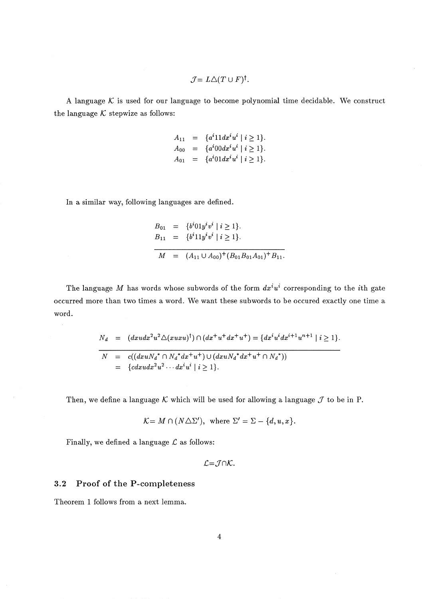$$
\mathcal{J}=L\triangle (T\cup F)^{\dagger}.
$$

A language  $K$  is used for our language to become polynomial time decidable. We construct the language  $K$  stepwize as follows:

$$
A_{11} = \{a^{i}11dx^{i}u^{i} | i \ge 1\}.
$$
  
\n
$$
A_{00} = \{a^{i}00dx^{i}u^{i} | i \ge 1\}.
$$
  
\n
$$
A_{01} = \{a^{i}01dx^{i}u^{i} | i \ge 1\}.
$$

In a similar way, following languages are defined.

$$
B_{01} = \{b^{i}01y^{i}v^{i} | i \ge 1\}.
$$
  
\n
$$
B_{11} = \{b^{i}11y^{i}v^{i} | i \ge 1\}.
$$
  
\n
$$
M = (A_{11} \cup A_{00})^{+} (B_{01}B_{01}A_{01})^{+} B_{11}.
$$

The language *M* has words whose subwords of the form  $dx^i u^i$  corresponding to the *i*th gate occurred more than two times a word. We want these subwords to be occured exactly one time a word.

$$
N_d = (dxudx^2u^2\Delta(xuxu)^{\dagger}) \cap (dx^+u^+dx^+u^+) = \{dx^i u^i dx^{i+1}u^{n+1} \mid i \ge 1\}.
$$
  

$$
N = c((dxuN_d^* \cap N_d^*dx^+u^+) \cup (dxuN_d^*dx^+u^+ \cap N_d^*))
$$
  

$$
= \{cdxudx^2u^2 \cdots dx^i u^i \mid i \ge 1\}.
$$

Then, we define a language  $K$  which will be used for allowing a language  $J$  to be in P.

$$
\mathcal{K} = M \cap (N \triangle \Sigma'), \text{ where } \Sigma' = \Sigma - \{d, u, x\}.
$$

Finally, we defined a language  $\mathcal L$  as follows:

$$
\mathcal{L} = \mathcal{J} \cap \mathcal{K}.
$$

#### **3.2 Proof of the P-completeness**

Theorem **1** follows from a next lemma.

 $\sim$ 

 $\bar{z}$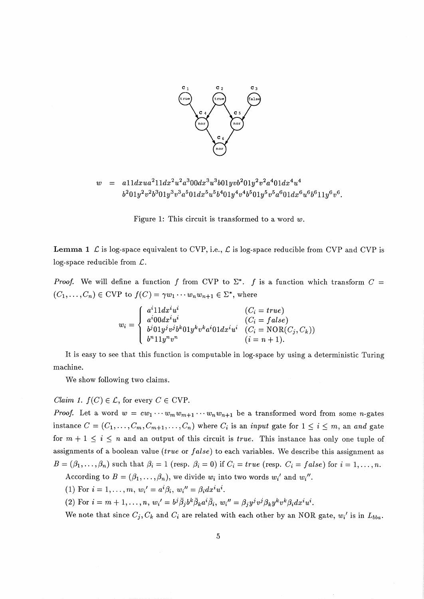

 $= 411dxua^211dx^2u^2a^300dx^3u^3b01yvb^201y^2v^2a^401dx^4u^4$  $\overline{w}$  $b^201y^2v^2b^301y^3v^3a^501dx^5u^5b^401y^4v^4b^501y^5v^5a^601dx^6u^6b^611y^6v^6$ 

Figure *1:* This circuit is transformed to a word *w.* 

**Lemma 1**  $\mathcal{L}$  is log-space equivalent to *CVP*, i.e.,  $\mathcal{L}$  is log-space reducible from *CVP* and *CVP* is log-space reducible from *L* .

*Proof.* We will define a function f from CVP to  $\Sigma^*$ . f is a function which transform  $C =$  $(C_1, \ldots, C_n) \in \text{CVP}$  to  $f(C) = \gamma w_1 \cdots w_n w_{n+1} \in \Sigma^*$ , where

$$
w_i = \begin{cases} a^i 11 dx^i u^i & (C_i = true) \\ a^i 00 dx^i u^i & (C_i = false) \\ b^j 01 y^j v^j b^k 01 y^k v^k a^i 01 dx^i u^i & (C_i = \text{NOR}(C_j, C_k)) \\ b^n 11 y^n v^n & (i = n + 1). \end{cases}
$$

It is easy to see that this function is computable in log-space by using a deterministic Turing machine.

We show following two claims.

*Claim 1.*  $f(C) \in \mathcal{L}$ , for every  $C \in CVP$ .

*Proof.* Let a word  $w = cw_1 \cdots w_m w_{m+1} \cdots w_n w_{n+1}$  be a transformed word from some *n*-gates instance  $C = (C_1, \ldots, C_m, C_{m+1}, \ldots, C_n)$  where  $C_i$  is an *input* gate for  $1 \le i \le m$ , an *and* gate for  $m + 1 \leq i \leq n$  and an output of this circuit is *true*. This instance has only one tuple of assignments of a boolean value *(true* or *false)* to each variables. We describe this assignment as  $B = (\beta_1, \ldots, \beta_n)$  such that  $\beta_i = 1$  (resp.  $\beta_i = 0$ ) if  $C_i = true$  (resp.  $C_i = false$ ) for  $i = 1, \ldots, n$ .

According to  $B = (\beta_1, \ldots, \beta_n)$ , we divide  $w_i$  into two words  $w_i'$  and  $w_i''$ .

 $(1)$  For  $i = 1, \ldots, m$ ,  $w_i' = a^i \beta_i$ ,  $w_i'' = \beta_i dx^i u^i$ .

(2) For  $i = m + 1, \ldots, n$ ,  $w_i' = b^j \overline{\beta}_j b^k \overline{\beta}_k a^i \overline{\beta}_i$ ,  $w_i'' = \beta_j y^j v^j \beta_k y^k v^k \beta_i dx^i u^i$ .

We note that since  $C_j$ ,  $C_k$  and  $C_i$  are related with each other by an NOR gate,  $w_i$ ' is in  $L_{bba}$ .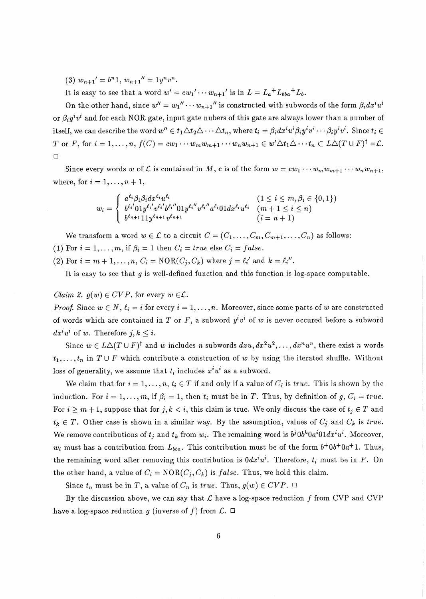(3)  $w_{n+1}' = b^{n}1$ ,  $w_{n+1}'' = 1y^{n}v^{n}$ .

It is easy to see that a word  $w' = cw_1' \cdots w_{n+1}'$  is in  $L = L_a^+L_{bba}^+L_b$ .

On the other hand, since  $w'' = w_1'' \cdots w_{n+1}''$  is constructed with subwords of the form  $\beta_i dx^i u^i$ or  $\beta_i y^i v^i$  and for each NOR gate, input gate nubers of this gate are always lower than a number of itself, we can describe the word  $w'' \in t_1 \triangle t_2 \triangle \cdots \triangle t_n$ , where  $t_i = \beta_i dx^i u^i \beta_i y^i v^i \cdots \beta_i y^i v^i$ . Since  $t_i \in$ T or F, for  $i = 1, ..., n$ ,  $f(C) = cw_1 \cdots w_m w_{m+1} \cdots w_n w_{n+1} \in w' \Delta t_1 \Delta \cdots t_n \subset L \Delta(T \cup F)^{\dagger} = \mathcal{L}$ .  $\Box$ 

Since every words w of L is contained in M, c is of the form  $w = cw_1 \cdots w_m w_{m+1} \cdots w_n w_{n+1}$ , where, for  $i = 1, ..., n + 1$ ,

$$
w_i = \begin{cases} a^{\ell_i} \beta_i \beta_i dx^{\ell_i} u^{\ell_i} & (1 \leq i \leq m, \beta_i \in \{0, 1\}) \\ b^{\ell_i'} 01 y^{\ell_i'} v^{\ell_i'} b^{\ell_i''} 01 y^{\ell_i''} v^{\ell_i''} a^{\ell_i} 01 dx^{\ell_i} u^{\ell_i} & (m+1 \leq i \leq n) \\ b^{\ell_{n+1}} 11 y^{\ell_{n+1}} v^{\ell_{n+1}} & (i = n+1) \end{cases}
$$

We transform a word  $w \in \mathcal{L}$  to a circuit  $C = (C_1, \ldots, C_m, C_{m+1}, \ldots, C_n)$  as follows:

(1) For  $i = 1, ..., m$ , if  $\beta_i = 1$  then  $C_i = true$  else  $C_i = false$ .

(2) For  $i = m + 1, \ldots, n$ ,  $C_i = \text{NOR}(C_j, C_k)$  where  $j = \ell_i'$  and  $k = \ell_i''$ .

It is easy to see that  $q$  is well-defined function and this function is log-space computable.

*Claim 2.*  $g(w) \in CVP$ , for every  $w \in \mathcal{L}$ .

*Proof.* Since  $w \in N$ ,  $\ell_i = i$  for every  $i = 1, ..., n$ . Moreover, since some parts of w are constructed of words which are contained in T or F, a subword  $y^i v^i$  of w is never occured before a subword  $dx^i u^i$  of w. Therefore  $j, k \leq i$ .

Since  $w \in L\Delta(T \cup F)^{\dagger}$  and w includes n subwords  $dxu, dx^2u^2, \ldots, dx^n u^n$ , there exist n words  $t_1, \ldots, t_n$  in  $T \cup F$  which contribute a construction of w by using the iterated shuffle. Without loss of generality, we assume that  $t_i$  includes  $x^i u^i$  as a subword.

We claim that for  $i = 1, \ldots, n$ ,  $t_i \in T$  if and only if a value of  $C_i$  is true. This is shown by the induction. For  $i = 1, ..., m$ , if  $\beta_i = 1$ , then  $t_i$  must be in T. Thus, by definition of  $g, C_i = true$ . For  $i \geq m+1$ , suppose that for  $j, k < i$ , this claim is true. We only discuss the case of  $t_j \in T$  and  $t_k \in T$ . Other case is shown in a similar way. By the assumption, values of  $C_j$  and  $C_k$  is true. We remove contributions of  $t_j$  and  $t_k$  from  $w_i$ . The remaining word is  $b^j 0 b^k 0 a^i 0 1 dx^i u^i$ . Moreover,  $w_i$  must has a contribution from  $L_{bba}$ . This contribution must be of the form  $b^+0b^+0a^+1$ . Thus, the remaining word after removing this contribution is  $0dx^i u^i$ . Therefore,  $t_i$  must be in F. On the other hand, a value of  $C_i = \text{NOR}(C_j, C_k)$  is *false*. Thus, we hold this claim.

Since  $t_n$  must be in T, a value of  $C_n$  is true. Thus,  $g(w) \in CVP$ .  $\Box$ 

By the discussion above, we can say that  $\mathcal L$  have a log-space reduction  $f$  from CVP and CVP have a log-space reduction g (inverse of f) from  $\mathcal{L}$ .  $\Box$